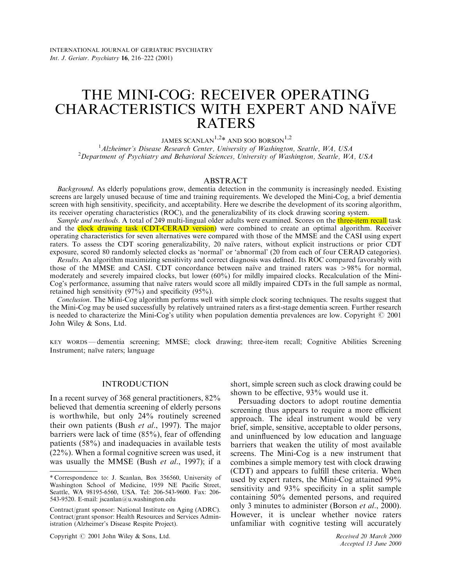# THE MINI-COG: RECEIVER OPERATING CHARACTERISTICS WITH EXPERT AND NAÏVE **RATERS**

JAMES SCANLAN<sup>1,2\*</sup> AND SOO BORSON<sup>1,2</sup>

<sup>1</sup> Alzheimer's Disease Research Center, University of Washington, Seattle, WA, USA<br><sup>2</sup> Department of Psychiatry and Behavioral Sciences, University of Washington, Seattle, WA <sup>2</sup>Department of Psychiatry and Behavioral Sciences, University of Washington, Seattle, WA, USA

## ABSTRACT

Background. As elderly populations grow, dementia detection in the community is increasingly needed. Existing screens are largely unused because of time and training requirements. We developed the Mini-Cog, a brief dementia screen with high sensitivity, specificity, and acceptability. Here we describe the development of its scoring algorithm, its receiver operating characteristics (ROC), and the generalizability of its clock drawing scoring system.

Sample and methods. A total of 249 multi-lingual older adults were examined. Scores on the *three-item recall* task and the **clock drawing task (CDT-CERAD version)** were combined to create an optimal algorithm. Receiver operating characteristics for seven alternatives were compared with those of the MMSE and the CASI using expert raters. To assess the CDT scoring generalizability, 20 naïve raters, without explicit instructions or prior CDT exposure, scored 80 randomly selected clocks as `normal' or `abnormal' (20 from each of four CERAD categories).

Results. An algorithm maximizing sensitivity and correct diagnosis was defined. Its ROC compared favorably with those of the MMSE and CASI. CDT concordance between naïve and trained raters was  $>98\%$  for normal, moderately and severely impaired clocks, but lower (60%) for mildly impaired clocks. Recalculation of the Mini-Cog's performance, assuming that naïve raters would score all mildly impaired CDTs in the full sample as normal, retained high sensitivity  $(97%)$  and specificity  $(95%)$ .

Conclusion. The Mini-Cog algorithm performs well with simple clock scoring techniques. The results suggest that the Mini-Cog may be used successfully by relatively untrained raters as a first-stage dementia screen. Further research is needed to characterize the Mini-Cog's utility when population dementia prevalences are low. Copyright  $\odot$  2001 John Wiley & Sons, Ltd.

KEY WORDS – dementia screening; MMSE; clock drawing; three-item recall; Cognitive Abilities Screening Instrument; naïve raters; language

## INTRODUCTION

In a recent survey of 368 general practitioners, 82% believed that dementia screening of elderly persons is worthwhile, but only 24% routinely screened their own patients (Bush et al., [1997](#page-5-0)). The major barriers were lack of time  $(85\%)$ , fear of offending patients (58%) and inadequacies in available tests (22%). When a formal cognitive screen was used, it was usually the MMSE (Bush et al., [1997\)](#page-5-0); if a

short, simple screen such as clock drawing could be shown to be effective,  $93\%$  would use it.

Persuading doctors to adopt routine dementia screening thus appears to require a more efficient approach. The ideal instrument would be very brief, simple, sensitive, acceptable to older persons, and uninfluenced by low education and language barriers that weaken the utility of most available screens. The Mini-Cog is a new instrument that combines a simple memory test with clock drawing (CDT) and appears to fulfill these criteria. When used by expert raters, the Mini-Cog attained 99% sensitivity and  $93\%$  specificity in a split sample containing 50% demented persons, and required only 3 minutes to administer (Borson et al., [2000](#page-5-0)). However, it is unclear whether novice raters unfamiliar with cognitive testing will accurately

Copyright  $\odot$  2001 John Wiley & Sons, Ltd. Received 20 March 2000

<sup>\*</sup> Correspondence to: J. Scanlan, Box 356560, University of Washington School of Medicine, 1959 NE Pacific Street, Seattle, WA 98195-6560, USA. Tel: 206-543-9600. Fax: 206- 543-9520. E-mail: jscanlan@u.washington.edu

Contract/grant sponsor: National Institute on Aging (ADRC). Contract/grant sponsor: Health Resources and Services Administration (Alzheimer's Disease Respite Project).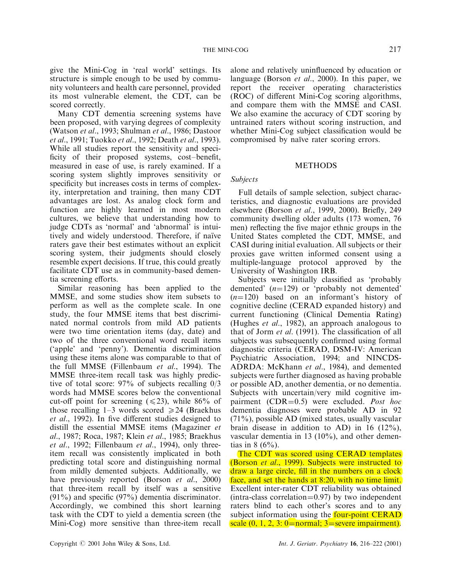give the Mini-Cog in `real world' settings. Its structure is simple enough to be used by community volunteers and health care personnel, provided its most vulnerable element, the CDT, can be scored correctly.

Many CDT dementia screening systems have been proposed, with varying degrees of complexity (Watson et al., [1993;](#page-6-0) Shulman et al., [1986;](#page-6-0) Dastoor et al., [1991;](#page-5-0) Tuokko et al., [1992;](#page-6-0) Death et al., [1993\)](#page-5-0). While all studies report the sensitivity and speci ficity of their proposed systems, cost-benefit, measured in ease of use, is rarely examined. If a scoring system slightly improves sensitivity or specificity but increases costs in terms of complexity, interpretation and training, then many CDT advantages are lost. As analog clock form and function are highly learned in most modern cultures, we believe that understanding how to judge CDTs as `normal' and `abnormal' is intuitively and widely understood. Therefore, if naïve raters gave their best estimates without an explicit scoring system, their judgments should closely resemble expert decisions. If true, this could greatly facilitate CDT use as in community-based dementia screening efforts.

Similar reasoning has been applied to the MMSE, and some studies show item subsets to perform as well as the complete scale. In one study, the four MMSE items that best discriminated normal controls from mild AD patients were two time orientation items (day, date) and two of the three conventional word recall items (`apple' and `penny'). Dementia discrimination using these items alone was comparable to that of the full MMSE (Fillenbaum et al., [1994\)](#page-5-0). The MMSE three-item recall task was highly predictive of total score: 97% of subjects recalling 0/3 words had MMSE scores below the conventional cut-off point for screening ( $\leq 23$ ), while 86% of those recalling 1–3 words scored  $\geq 24$  (Braekhus  $et \ al., 1992$  $et \ al., 1992$ ). In five different studies designed to distill the essential MMSE items (Magaziner et al., [1987;](#page-6-0) Roca, [1987;](#page-6-0) Klein et al., [1985](#page-6-0); Braekhus et al., [1992;](#page-5-0) Fillenbaum et al., [1994](#page-5-0)), only threeitem recall was consistently implicated in both predicting total score and distinguishing normal from mildly demented subjects. Additionally, we have previously reported (Borson *et al.*, [2000\)](#page-5-0) that three-item recall by itself was a sensitive  $(91\%)$  and specific  $(97\%)$  dementia discriminator. Accordingly, we combined this short learning task with the CDT to yield a dementia screen (the Mini-Cog) more sensitive than three-item recall

alone and relatively uninfluenced by education or language (Borson *et al.*, [2000\)](#page-5-0). In this paper, we report the receiver operating characteristics (ROC) of different Mini-Cog scoring algorithms, and compare them with the MMSE and CASI. We also examine the accuracy of CDT scoring by untrained raters without scoring instruction, and whether Mini-Cog subject classification would be compromised by naïve rater scoring errors.

# METHODS

# Subjects

Full details of sample selection, subject characteristics, and diagnostic evaluations are provided elsewhere (Borson et al., [1999,](#page-5-0) 2000). Briefly, 249 community dwelling older adults (173 women, 76 men) reflecting the five major ethnic groups in the United States completed the CDT, MMSE, and CASI during initial evaluation. All subjects or their proxies gave written informed consent using a multiple-language protocol approved by the University of Washington IRB.

Subjects were initially classified as 'probably demented'  $(n=129)$  or 'probably not demented'  $(n=120)$  based on an informant's history of cognitive decline (CERAD expanded history) and current functioning (Clinical Dementia Rating) (Hughes et al., [1982](#page-5-0)), an approach analogous to that of Jorm  $et$  al. ([1991\)](#page-6-0). The classification of all subjects was subsequently confirmed using formal diagnostic criteria (CERAD, DSM-IV: American Psychiatric Association, [1994](#page-5-0); and NINCDS-ADRDA: McKhann et al., [1984\)](#page-6-0), and demented subjects were further diagnosed as having probable or possible AD, another dementia, or no dementia. Subjects with uncertain/very mild cognitive impairment (CDR= $0.5$ ) were excluded. Post hoc dementia diagnoses were probable AD in 92  $(71\%)$ , possible AD (mixed states, usually vascular brain disease in addition to AD) in 16 (12%), vascular dementia in 13 (10%), and other dementias in  $8 (6\%)$ .

The CDT was scored using CERAD templates (Borson et al., [1999](#page-5-0)). Subjects were instructed to draw a large circle, fill in the numbers on a clock face, and set the hands at 8:20, with no time limit. Excellent inter-rater CDT reliability was obtained  $(intra-class correlation=0.97)$  by two independent raters blind to each other's scores and to any subject information using the **four-point CERAD** scale  $(0, 1, 2, 3: 0$ =normal; 3=severe impairment).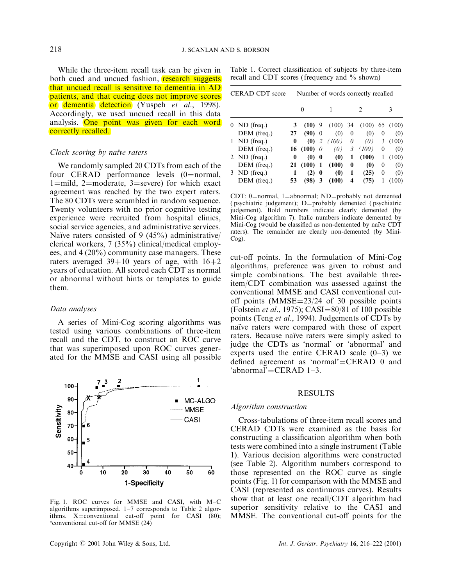While the three-item recall task can be given in both cued and uncued fashion, **research suggests** that uncued recall is sensitive to dementia in AD patients, and that cueing does not improve scores or dementia detection (Yuspeh et al., [1998\)](#page-6-0). Accordingly, we used uncued recall in this data analysis. One point was given for each word correctly recalled.

## Clock scoring by naïve raters

We randomly sampled 20 CDTs from each of the four CERAD performance levels  $(0=normal,$  $1$ =mild, 2=moderate, 3=severe) for which exact agreement was reached by the two expert raters. The 80 CDTs were scrambled in random sequence. Twenty volunteers with no prior cognitive testing experience were recruited from hospital clinics, social service agencies, and administrative services. Naïve raters consisted of 9 (45%) administrative/ clerical workers, 7 (35%) clinical/medical employees, and 4 (20%) community case managers. These raters averaged  $39+10$  years of age, with  $16+2$ years of education. All scored each CDT as normal or abnormal without hints or templates to guide them.

#### Data analyses

A series of Mini-Cog scoring algorithms was tested using various combinations of three-item recall and the CDT, to construct an ROC curve that was superimposed upon ROC curves generated for the MMSE and CASI using all possible



Fig. 1. ROC curves for MMSE and CASI, with M-C algorithms superimposed.  $1-7$  corresponds to Table 2 algorithms. X=conventional cut-off point for CASI (80);  $*$ conventional cut-off for MMSE (24)

Table 1. Correct classification of subjects by three-item recall and CDT scores (frequency and  $\%$  shown)

| CERAD CDT score |                | Number of words correctly recalled |                   |          |            |                |        |          |       |  |
|-----------------|----------------|------------------------------------|-------------------|----------|------------|----------------|--------|----------|-------|--|
|                 |                | 0                                  |                   |          |            | $\mathfrak{D}$ |        | 3        |       |  |
| $_{0}$          | ND (freq.)     | 3                                  | $(10)$ 9          |          | $(100)$ 34 |                | (100)  | 65       | (100) |  |
|                 | DEM (freq.)    | 27                                 | (90)              | $\theta$ | (0)        | $\mathbf{0}$   | (0)    | 0        | (0)   |  |
| 1               | $ND$ (freq.)   | 0                                  | $\omega$          | 2        | (100)      | 0              | (0)    | 3        | (100) |  |
|                 | DEM (freq.)    |                                    | 16 (100) $\theta$ |          | (0)        |                | 3(100) | $\theta$ | (0)   |  |
|                 | 2 ND (freq.)   | 0                                  | $\omega$          | 0        | (0)        | 1              | (100)  | 1        | (100) |  |
|                 | DEM (freq.)    | 21                                 | (100)             | 1        | (100)      | 0              | (0)    | $\theta$ | (0)   |  |
|                 | $3$ ND (freq.) | 1                                  | (2)               | $\bf{0}$ | (0)        | 1              | (25)   | 0        | (0)   |  |
|                 | DEM (freq.)    | 53                                 | (98)              | 3        | (100)      | 4              | (75)   |          | (100) |  |

CDT: 0=normal, 1=abnormal; ND=probably not demented ( psychiatric judgement); D=probably demented ( psychiatric judgement). Bold numbers indicate clearly demented (by Mini-Cog algorithm 7). Italic numbers indicate demented by Mini-Cog (would be classified as non-demented by naïve CDT raters). The remainder are clearly non-demented (by Mini-Cog).

cut-off points. In the formulation of Mini-Cog algorithms, preference was given to robust and simple combinations. The best available threeitem/CDT combination was assessed against the conventional MMSE and CASI conventional cutoff points (MMSE $=$ 23/24 of 30 possible points (Folstein *et al.*, [1975\)](#page-5-0); CASI=80/81 of 100 possible points (Teng et al., [1994\)](#page-6-0). Judgements of CDTs by naïve raters were compared with those of expert raters. Because naïve raters were simply asked to judge the CDTs as `normal' or `abnormal' and experts used the entire CERAD scale  $(0-3)$  we defined agreement as 'normal'=CERAD 0 and  $'abnormal' = CERAD 1-3.$ 

# RESULTS

#### Algorithm construction

Cross-tabulations of three-item recall scores and CERAD CDTs were examined as the basis for constructing a classification algorithm when both tests were combined into a single instrument (Table 1). Various decision algorithms were constructed (see Table 2). Algorithm numbers correspond to those represented on the ROC curve as single points (Fig. 1) for comparison with the MMSE and CASI (represented as continuous curves). Results show that at least one recall/CDT algorithm had superior sensitivity relative to the CASI and MMSE. The conventional cut-off points for the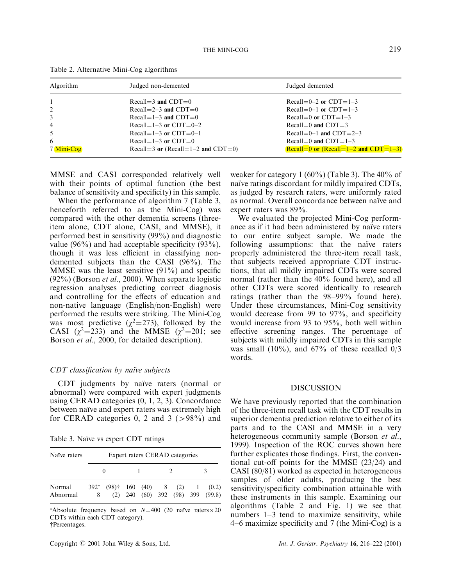| Algorithm  | Judged non-demented                | Judged demented                             |
|------------|------------------------------------|---------------------------------------------|
|            | Recall=3 and $CDT=0$               | Recall= $0-2$ or CDT= $1-3$                 |
| 2          | Recall=2-3 and $CDT=0$             | Recall= $0-1$ or CDT= $1-3$                 |
| 3          | Recall= $1-3$ and CDT=0            | Recall=0 or $CDT=1-3$                       |
| 4          | Recall= $1-3$ or CDT= $0-2$        | Recall=0 and $CDT=3$                        |
| 5.         | Recall= $1-3$ or CDT= $0-1$        | Recall= $0-1$ and CDT= $2-3$                |
| 6          | Recall=1-3 or $CDT=0$              | Recall=0 and $CDT=1-3$                      |
| 7 Mini-Cog | Recall=3 or (Recall=1-2 and CDT=0) | Recall=0 or (Recall= $1-2$ and CDT= $1-3$ ) |

|  |  | Table 2. Alternative Mini-Cog algorithms |
|--|--|------------------------------------------|
|  |  |                                          |

MMSE and CASI corresponded relatively well with their points of optimal function (the best balance of sensitivity and specificity) in this sample.

When the performance of algorithm 7 (Table 3, henceforth referred to as the Mini-Cog) was compared with the other dementia screens (threeitem alone, CDT alone, CASI, and MMSE), it performed best in sensitivity (99%) and diagnostic value (96%) and had acceptable specificity (93%), though it was less efficient in classifying nondemented subjects than the CASI (96%). The MMSE was the least sensitive  $(91\%)$  and specific (92%) (Borson et al., [2000](#page-5-0)). When separate logistic regression analyses predicting correct diagnosis and controlling for the effects of education and non-native language (English/non-English) were performed the results were striking. The Mini-Cog was most predictive  $(\chi^2=273)$ , followed by the CASI  $(\chi^2=233)$  and the MMSE  $(\chi^2=201)$ ; see Borson et al., [2000,](#page-5-0) for detailed description).

## $CDT$  classification by naïve subjects

CDT judgments by naïve raters (normal or abnormal) were compared with expert judgments using CERAD categories (0, 1, 2, 3). Concordance between naïve and expert raters was extremely high for CERAD categories 0, 2 and 3 ( $>98\%$ ) and

Table 3. Naïve vs expert CDT ratings

| Naïve raters       | Expert raters CERAD categories |                                          |  |  |  |  |  |                                                             |
|--------------------|--------------------------------|------------------------------------------|--|--|--|--|--|-------------------------------------------------------------|
|                    |                                |                                          |  |  |  |  |  |                                                             |
| Normal<br>Abnormal | 8                              | $392^*$ (98) <sup>†</sup> 160 (40) 8 (2) |  |  |  |  |  | $1 \quad (0.2)$<br>$(2)$ 240 $(60)$ 392 $(98)$ 399 $(99.8)$ |

\*Absolute frequency based on  $N=400$  (20 naïve raters $\times$ 20 CDTs within each CDT category). {Percentages.

weaker for category 1  $(60\%)$  (Table 3). The 40% of naïve ratings discordant for mildly impaired CDTs, as judged by research raters, were uniformly rated as normal. Overall concordance between naïve and expert raters was 89%.

We evaluated the projected Mini-Cog performance as if it had been administered by naïve raters to our entire subject sample. We made the following assumptions: that the naïve raters properly administered the three-item recall task, that subjects received appropriate CDT instructions, that all mildly impaired CDTs were scored normal (rather than the 40% found here), and all other CDTs were scored identically to research ratings (rather than the 98-99% found here). Under these circumstances, Mini-Cog sensitivity would decrease from 99 to  $97\%$ , and specificity would increase from 93 to 95%, both well within effective screening ranges. The percentage of subjects with mildly impaired CDTs in this sample was small (10%), and  $67\%$  of these recalled 0/3 words.

# DISCUSSION

We have previously reported that the combination of the three-item recall task with the CDT results in superior dementia prediction relative to either of its parts and to the CASI and MMSE in a very heterogeneous community sample (Borson *et al.*, [1999\)](#page-5-0). Inspection of the ROC curves shown here further explicates those findings. First, the conventional cut-off points for the MMSE  $(23/24)$  and CASI (80/81) worked as expected in heterogeneous samples of older adults, producing the best sensitivity/specificity combination attainable with these instruments in this sample. Examining our algorithms (Table 2 and Fig. 1) we see that numbers  $1-3$  tend to maximize sensitivity, while  $4-6$  maximize specificity and 7 (the Mini-Cog) is a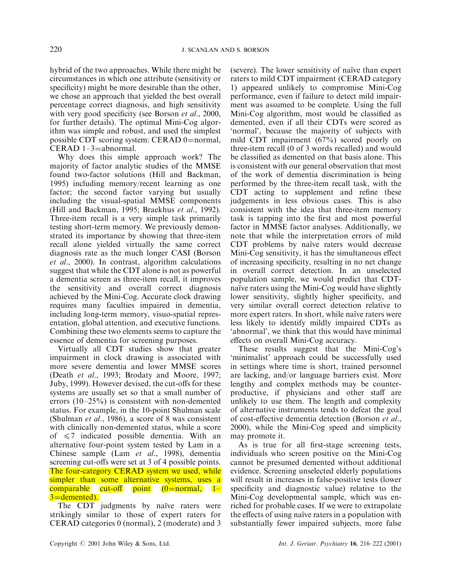hybrid of the two approaches. While there might be circumstances in which one attribute (sensitivity or specificity) might be more desirable than the other, we chose an approach that yielded the best overall percentage correct diagnosis, and high sensitivity with very good specificity (see Borson et al., [2000](#page-5-0), for further details). The optimal Mini-Cog algorithm was simple and robust, and used the simplest possible CDT scoring system: CERAD  $0=$ normal, CERAD  $1-3=$ abnormal.

Why does this simple approach work? The majority of factor analytic studies of the MMSE found two-factor solutions (Hill and Backman, [1995\)](#page-5-0) including memory/recent learning as one factor; the second factor varying but usually including the visual-spatial MMSE components (Hill and Backman, [1995;](#page-5-0) Braekhus et al., [1992\)](#page-5-0). Three-item recall is a very simple task primarily testing short-term memory. We previously demonstrated its importance by showing that three-item recall alone yielded virtually the same correct diagnosis rate as the much longer CASI (Borson et al., [2000](#page-5-0)). In contrast, algorithm calculations suggest that while the CDT alone is not as powerful a dementia screen as three-item recall, it improves the sensitivity and overall correct diagnosis achieved by the Mini-Cog. Accurate clock drawing requires many faculties impaired in dementia, including long-term memory, visuo-spatial representation, global attention, and executive functions. Combining these two elements seems to capture the essence of dementia for screening purposes.

Virtually all CDT studies show that greater impairment in clock drawing is associated with more severe dementia and lower MMSE scores (Death et al., [1993](#page-5-0); Brodaty and Moore, [1997](#page-5-0); Juby, [1999\)](#page-6-0). However devised, the cut-offs for these systems are usually set so that a small number of errors  $(10-25%)$  is consistent with non-demented status. For example, in the 10-point Shulman scale (Shulman et al., [1986](#page-6-0)), a score of 8 was consistent with clinically non-demented status, while a score of  $\leq 7$  indicated possible dementia. With an alternative four-point system tested by Lam in a Chinese sample (Lam et al., [1998\)](#page-6-0), dementia screening cut-offs were set at 3 of 4 possible points. The four-category CERAD system we used, while simpler than some alternative systems, uses a comparable cut-off point  $(0=normal, 1 3$ =demented).

The CDT judgments by naïve raters were strikingly similar to those of expert raters for CERAD categories 0 (normal), 2 (moderate) and 3

(severe). The lower sensitivity of naïve than expert raters to mild CDT impairment (CERAD category 1) appeared unlikely to compromise Mini-Cog performance, even if failure to detect mild impairment was assumed to be complete. Using the full Mini-Cog algorithm, most would be classified as demented, even if all their CDTs were scored as `normal', because the majority of subjects with mild CDT impairment (67%) scored poorly on three-item recall (0 of 3 words recalled) and would be classified as demented on that basis alone. This is consistent with our general observation that most of the work of dementia discrimination is being performed by the three-item recall task, with the CDT acting to supplement and refine these judgements in less obvious cases. This is also consistent with the idea that three-item memory task is tapping into the first and most powerful factor in MMSE factor analyses. Additionally, we note that while the interpretation errors of mild CDT problems by naïve raters would decrease Mini-Cog sensitivity, it has the simultaneous effect of increasing specificity, resulting in no net change in overall correct detection. In an unselected population sample, we would predict that CDTnaïve raters using the Mini-Cog would have slightly lower sensitivity, slightly higher specificity, and very similar overall correct detection relative to more expert raters. In short, while naïve raters were less likely to identify mildly impaired CDTs as `abnormal', we think that this would have minimal effects on overall Mini-Cog accuracy.

These results suggest that the Mini-Cog's `minimalist' approach could be successfully used in settings where time is short, trained personnel are lacking, and/or language barriers exist. More lengthy and complex methods may be counterproductive, if physicians and other staff are unlikely to use them. The length and complexity of alternative instruments tends to defeat the goal of cost-effective dementia detection (Borson et al., [2000\)](#page-5-0), while the Mini-Cog speed and simplicity may promote it.

As is true for all first-stage screening tests, individuals who screen positive on the Mini-Cog cannot be presumed demented without additional evidence. Screening unselected elderly populations will result in increases in false-positive tests (lower specificity and diagnostic value) relative to the Mini-Cog developmental sample, which was enriched for probable cases. If we were to extrapolate the effects of using naïve raters in a population with substantially fewer impaired subjects, more false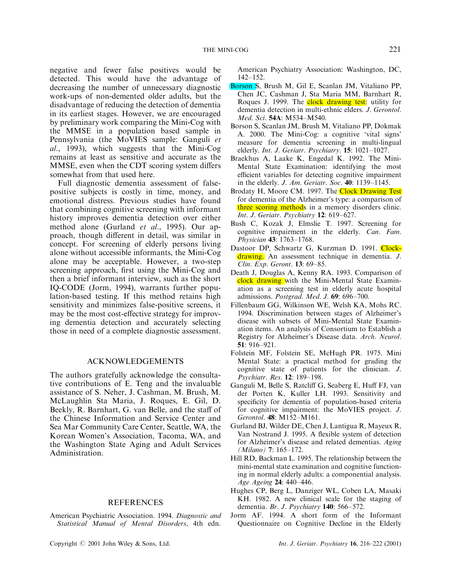<span id="page-5-0"></span>negative and fewer false positives would be detected. This would have the advantage of decreasing the number of unnecessary diagnostic work-ups of non-demented older adults, but the disadvantage of reducing the detection of dementia in its earliest stages. However, we are encouraged by preliminary work comparing the Mini-Cog with the MMSE in a population based sample in Pennsylvania (the MoVIES sample: Ganguli et al., 1993), which suggests that the Mini-Cog remains at least as sensitive and accurate as the MMSE, even when the CDT scoring system differs somewhat from that used here.

Full diagnostic dementia assessment of falsepositive subjects is costly in time, money, and emotional distress. Previous studies have found that combining cognitive screening with informant history improves dementia detection over either method alone (Gurland et al., 1995). Our approach, though different in detail, was similar in concept. For screening of elderly persons living alone without accessible informants, the Mini-Cog alone may be acceptable. However, a two-step screening approach, first using the Mini-Cog and then a brief informant interview, such as the short IQ-CODE (Jorm, 1994), warrants further population-based testing. If this method retains high sensitivity and minimizes false-positive screens, it may be the most cost-effective strategy for improving dementia detection and accurately selecting those in need of a complete diagnostic assessment.

## ACKNOWLEDGEMENTS

The authors gratefully acknowledge the consultative contributions of E. Teng and the invaluable assistance of S. Neher, J. Cashman, M. Brush, M. McLaughlin Sta Maria, J. Roques, E. Gil, D. Beekly, R. Barnhart, G. van Belle, and the staff of the Chinese Information and Service Center and Sea Mar Community Care Center, Seattle, WA, the Korean Women's Association, Tacoma, WA, and the Washington State Aging and Adult Services Administration.

# REFERENCES

American Psychiatric Association. 1994. Diagnostic and Statistical Manual of Mental Disorders, 4th edn.

Copyright  $\odot$  2001 John Wiley & Sons, Ltd. Int. J. Geriatr. Psychiatry 16, 216-222 (2001)

American Psychiatry Association: Washington, DC, 142±152.

- Borson S, Brush M, Gil E, Scanlan JM, Vitaliano PP, Chen JC, Cashman J, Sta Maria MM, Barnhart R, Roques J. 1999. The **clock drawing test**: utility for dementia detection in multi-ethnic elders. J. Gerontol. Med. Sci. 54A: M534-M540.
- Borson S, Scanlan JM, Brush M, Vitaliano PP, Dokmak A. 2000. The Mini-Cog: a cognitive `vital signs' measure for dementia screening in multi-lingual elderly. Int. J. Geriatr. Psychiatry.  $15: 1021-1027$ .
- Braekhus A, Laake K, Engedal K. 1992. The Mini-Mental State Examination: identifying the most efficient variables for detecting cognitive impairment in the elderly. J. Am. Geriatr. Soc.  $40: 1139-1145$ .
- Brodaty H, Moore CM. 1997. The Clock Drawing Test for dementia of the Alzheimer's type: a comparison of three scoring methods in a memory disorders clinic. Int. J. Geriatr. Psychiatry  $12$ : 619-627.
- Bush C, Kozak J, Elmslie T. 1997. Screening for cognitive impairment in the elderly. Can. Fam. Physician 43: 1763-1768.
- Dastoor DP, Schwartz G, Kurzman D, 1991. Clockdrawing. An assessment technique in dementia. J. Clin. Exp. Geront. 13: 69-85.
- Death J, Douglas A, Kenny RA. 1993. Comparison of clock drawing with the Mini-Mental State Examination as a screening test in elderly acute hospital admissions. Postgrad. Med. J.  $69: 696-700$ .
- Fillenbaum GG, Wilkinson WE, Welsh KA, Mohs RC. 1994. Discrimination between stages of Alzheimer's disease with subsets of Mini-Mental State Examination items. An analysis of Consortium to Establish a Registry for Alzheimer's Disease data. Arch. Neurol. 51: 916±921.
- Folstein MF, Folstein SE, McHugh PR. 1975. Mini Mental State: a practical method for grading the cognitive state of patients for the clinician. J. Psychiatr. Res. 12: 189-198.
- Ganguli M, Belle S, Ratcliff G, Seaberg E, Huff FJ, van der Porten K, Kuller LH. 1993. Sensitivity and specificity for dementia of population-based criteria for cognitive impairment: the MoVIES project. J. Gerontol. 48: M152-M161.
- Gurland BJ, Wilder DE, Chen J, Lantigua R, Mayeux R, Van Nostrand J. 1995. A flexible system of detection for Alzheimer's disease and related dementias. Aging  $(Milano)$  7: 165-172.
- Hill RD, Backman L. 1995. The relationship between the mini-mental state examination and cognitive functioning in normal elderly adults: a componential analysis. Age Ageing 24: 440-446.
- Hughes CP, Berg L, Danziger WL, Coben LA, Masaki KH. 1982. A new clinical scale for the staging of dementia. Br. J. Psychiatry  $140:566-572$ .
- Jorm AF. 1994. A short form of the Informant Questionnaire on Cognitive Decline in the Elderly